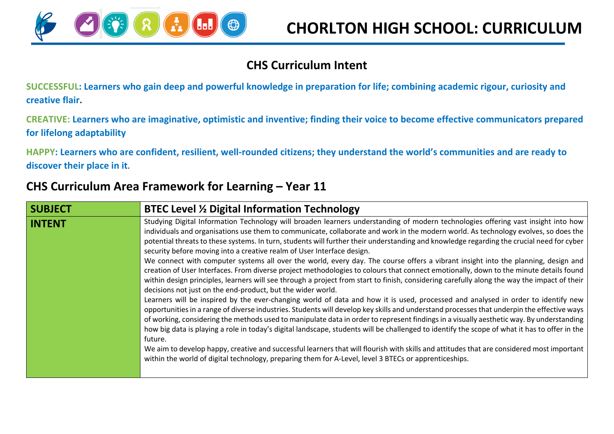

#### **CHS Curriculum Intent**

**SUCCESSFUL: Learners who gain deep and powerful knowledge in preparation for life; combining academic rigour, curiosity and creative flair.**

**CREATIVE: Learners who are imaginative, optimistic and inventive; finding their voice to become effective communicators prepared for lifelong adaptability**

**HAPPY: Learners who are confident, resilient, well-rounded citizens; they understand the world's communities and are ready to discover their place in it.**

### **CHS Curriculum Area Framework for Learning – Year 11**

| <b>SUBJECT</b> | <b>BTEC Level % Digital Information Technology</b>                                                                                                                                                                                                                                                                                                                                                                                                                                                                                                                                                                                                                                                                                                                                                                                                                                                                                                                                                                                                                                                                                                                                                                                                                                                                                                                                                                                                                                                                                                                                                                                                                                                                                                                                                                                          |
|----------------|---------------------------------------------------------------------------------------------------------------------------------------------------------------------------------------------------------------------------------------------------------------------------------------------------------------------------------------------------------------------------------------------------------------------------------------------------------------------------------------------------------------------------------------------------------------------------------------------------------------------------------------------------------------------------------------------------------------------------------------------------------------------------------------------------------------------------------------------------------------------------------------------------------------------------------------------------------------------------------------------------------------------------------------------------------------------------------------------------------------------------------------------------------------------------------------------------------------------------------------------------------------------------------------------------------------------------------------------------------------------------------------------------------------------------------------------------------------------------------------------------------------------------------------------------------------------------------------------------------------------------------------------------------------------------------------------------------------------------------------------------------------------------------------------------------------------------------------------|
| <b>INTENT</b>  | Studying Digital Information Technology will broaden learners understanding of modern technologies offering vast insight into how<br>individuals and organisations use them to communicate, collaborate and work in the modern world. As technology evolves, so does the<br>potential threats to these systems. In turn, students will further their understanding and knowledge regarding the crucial need for cyber<br>security before moving into a creative realm of User Interface design.<br>We connect with computer systems all over the world, every day. The course offers a vibrant insight into the planning, design and<br>creation of User Interfaces. From diverse project methodologies to colours that connect emotionally, down to the minute details found<br>within design principles, learners will see through a project from start to finish, considering carefully along the way the impact of their<br>decisions not just on the end-product, but the wider world.<br>Learners will be inspired by the ever-changing world of data and how it is used, processed and analysed in order to identify new<br>opportunities in a range of diverse industries. Students will develop key skills and understand processes that underpin the effective ways<br>of working, considering the methods used to manipulate data in order to represent findings in a visually aesthetic way. By understanding<br>how big data is playing a role in today's digital landscape, students will be challenged to identify the scope of what it has to offer in the<br>future.<br>We aim to develop happy, creative and successful learners that will flourish with skills and attitudes that are considered most important<br>within the world of digital technology, preparing them for A-Level, level 3 BTECs or apprenticeships. |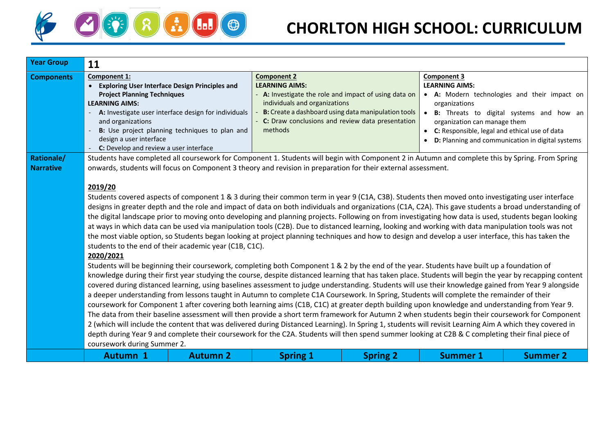

| <b>Year Group</b>              | 11                                                                                                                                                                                                                                                                                                                                                                                                                                                                                                                                                                                                                                                                                                                                                                                                                                                                                                                                                                                                                                                                                                                                                                                                                                                                                                                                                                                                                                                                                                                                                                                                                                                                                                                                                                                                                                                                                                                                                                                                                                                                                                                                                                                                                                                                                                                                                                                                                                                        |                                                                                                        |                                                                                                                                                                                                                                                           |                 |                                                                                                                                               |                                                                                                                                                |
|--------------------------------|-----------------------------------------------------------------------------------------------------------------------------------------------------------------------------------------------------------------------------------------------------------------------------------------------------------------------------------------------------------------------------------------------------------------------------------------------------------------------------------------------------------------------------------------------------------------------------------------------------------------------------------------------------------------------------------------------------------------------------------------------------------------------------------------------------------------------------------------------------------------------------------------------------------------------------------------------------------------------------------------------------------------------------------------------------------------------------------------------------------------------------------------------------------------------------------------------------------------------------------------------------------------------------------------------------------------------------------------------------------------------------------------------------------------------------------------------------------------------------------------------------------------------------------------------------------------------------------------------------------------------------------------------------------------------------------------------------------------------------------------------------------------------------------------------------------------------------------------------------------------------------------------------------------------------------------------------------------------------------------------------------------------------------------------------------------------------------------------------------------------------------------------------------------------------------------------------------------------------------------------------------------------------------------------------------------------------------------------------------------------------------------------------------------------------------------------------------------|--------------------------------------------------------------------------------------------------------|-----------------------------------------------------------------------------------------------------------------------------------------------------------------------------------------------------------------------------------------------------------|-----------------|-----------------------------------------------------------------------------------------------------------------------------------------------|------------------------------------------------------------------------------------------------------------------------------------------------|
| <b>Components</b>              | Component 1:<br><b>Exploring User Interface Design Principles and</b><br>$\bullet$<br><b>Project Planning Techniques</b><br><b>LEARNING AIMS:</b><br>and organizations<br>design a user interface                                                                                                                                                                                                                                                                                                                                                                                                                                                                                                                                                                                                                                                                                                                                                                                                                                                                                                                                                                                                                                                                                                                                                                                                                                                                                                                                                                                                                                                                                                                                                                                                                                                                                                                                                                                                                                                                                                                                                                                                                                                                                                                                                                                                                                                         | A: Investigate user interface design for individuals<br>B: Use project planning techniques to plan and | <b>Component 2</b><br><b>LEARNING AIMS:</b><br>A: Investigate the role and impact of using data on<br>individuals and organizations<br>B: Create a dashboard using data manipulation tools<br>C: Draw conclusions and review data presentation<br>methods |                 | <b>Component 3</b><br><b>LEARNING AIMS:</b><br>organizations<br>organization can manage them<br>C: Responsible, legal and ethical use of data | • A: Modern technologies and their impact on<br>• B: Threats to digital systems and how an<br>D: Planning and communication in digital systems |
| Rationale/<br><b>Narrative</b> | C: Develop and review a user interface<br>Students have completed all coursework for Component 1. Students will begin with Component 2 in Autumn and complete this by Spring. From Spring<br>onwards, students will focus on Component 3 theory and revision in preparation for their external assessment.<br>2019/20<br>Students covered aspects of component 1 & 3 during their common term in year 9 (C1A, C3B). Students then moved onto investigating user interface<br>designs in greater depth and the role and impact of data on both individuals and organizations (C1A, C2A). This gave students a broad understanding of<br>the digital landscape prior to moving onto developing and planning projects. Following on from investigating how data is used, students began looking<br>at ways in which data can be used via manipulation tools (C2B). Due to distanced learning, looking and working with data manipulation tools was not<br>the most viable option, so Students began looking at project planning techniques and how to design and develop a user interface, this has taken the<br>students to the end of their academic year (C1B, C1C).<br>2020/2021<br>Students will be beginning their coursework, completing both Component 1 & 2 by the end of the year. Students have built up a foundation of<br>knowledge during their first year studying the course, despite distanced learning that has taken place. Students will begin the year by recapping content<br>covered during distanced learning, using baselines assessment to judge understanding. Students will use their knowledge gained from Year 9 alongside<br>a deeper understanding from lessons taught in Autumn to complete C1A Coursework. In Spring, Students will complete the remainder of their<br>coursework for Component 1 after covering both learning aims (C1B, C1C) at greater depth building upon knowledge and understanding from Year 9.<br>The data from their baseline assessment will then provide a short term framework for Autumn 2 when students begin their coursework for Component<br>2 (which will include the content that was delivered during Distanced Learning). In Spring 1, students will revisit Learning Aim A which they covered in<br>depth during Year 9 and complete their coursework for the C2A. Students will then spend summer looking at C2B & C completing their final piece of<br>coursework during Summer 2. |                                                                                                        |                                                                                                                                                                                                                                                           |                 |                                                                                                                                               |                                                                                                                                                |
|                                | <b>Autumn 1</b>                                                                                                                                                                                                                                                                                                                                                                                                                                                                                                                                                                                                                                                                                                                                                                                                                                                                                                                                                                                                                                                                                                                                                                                                                                                                                                                                                                                                                                                                                                                                                                                                                                                                                                                                                                                                                                                                                                                                                                                                                                                                                                                                                                                                                                                                                                                                                                                                                                           | <b>Autumn 2</b>                                                                                        | <b>Spring 1</b>                                                                                                                                                                                                                                           | <b>Spring 2</b> | <b>Summer 1</b>                                                                                                                               | <b>Summer 2</b>                                                                                                                                |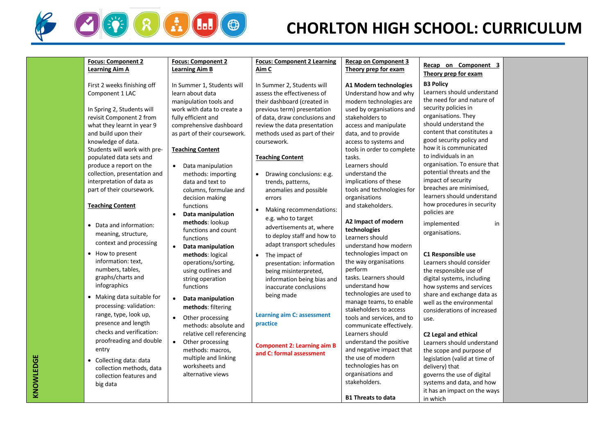

## **CHORLTON HIGH SCHOOL: CURRICULUM**

| <b>Focus: Component 2</b>    | <b>Focus: Component 2</b>      | <b>Focus: Component 2 Learning</b>     | <b>Recap on Component 3</b> |                               |  |
|------------------------------|--------------------------------|----------------------------------------|-----------------------------|-------------------------------|--|
| <b>Learning Aim A</b>        | <b>Learning Aim B</b>          | Aim C                                  | Theory prep for exam        | Recap on Component 3          |  |
|                              |                                |                                        |                             | Theory prep for exam          |  |
| First 2 weeks finishing off  | In Summer 1, Students will     | In Summer 2, Students will             | A1 Modern technologies      | <b>B3 Policy</b>              |  |
| Component 1 LAC              | learn about data               | assess the effectiveness of            | Understand how and why      | Learners should understand    |  |
|                              | manipulation tools and         | their dashboard (created in            | modern technologies are     | the need for and nature of    |  |
| In Spring 2, Students will   | work with data to create a     | previous term) presentation            | used by organisations and   | security policies in          |  |
| revisit Component 2 from     | fully efficient and            | of data, draw conclusions and          | stakeholders to             | organisations. They           |  |
| what they learnt in year 9   | comprehensive dashboard        | review the data presentation           | access and manipulate       | should understand the         |  |
| and build upon their         | as part of their coursework.   | methods used as part of their          | data, and to provide        | content that constitutes a    |  |
| knowledge of data.           |                                | coursework.                            | access to systems and       | good security policy and      |  |
| Students will work with pre- | <b>Teaching Content</b>        |                                        | tools in order to complete  | how it is communicated        |  |
| populated data sets and      |                                | <b>Teaching Content</b>                | tasks.                      | to individuals in an          |  |
| produce a report on the      | Data manipulation              |                                        | Learners should             | organisation. To ensure that  |  |
| collection, presentation and | methods: importing             | Drawing conclusions: e.g.<br>$\bullet$ | understand the              | potential threats and the     |  |
| interpretation of data as    | data and text to               | trends, patterns,                      | implications of these       | impact of security            |  |
| part of their coursework.    | columns, formulae and          | anomalies and possible                 | tools and technologies for  | breaches are minimised,       |  |
|                              | decision making                | errors                                 | organisations               | learners should understand    |  |
| <b>Teaching Content</b>      | functions                      | Making recommendations:<br>$\bullet$   | and stakeholders.           | how procedures in security    |  |
|                              | Data manipulation              |                                        |                             | policies are                  |  |
| • Data and information:      | methods: lookup                | e.g. who to target                     | A2 Impact of modern         | implemented<br>in             |  |
| meaning, structure,          | functions and count            | advertisements at, where               | technologies                | organisations.                |  |
|                              | functions                      | to deploy staff and how to             | Learners should             |                               |  |
| context and processing       | Data manipulation<br>$\bullet$ | adapt transport schedules              | understand how modern       |                               |  |
| • How to present             | methods: logical               | The impact of<br>$\bullet$             | technologies impact on      | C1 Responsible use            |  |
| information: text,           | operations/sorting,            | presentation: information              | the way organisations       | Learners should consider      |  |
| numbers, tables,             | using outlines and             | being misinterpreted,                  | perform                     | the responsible use of        |  |
| graphs/charts and            | string operation               | information being bias and             | tasks. Learners should      | digital systems, including    |  |
| infographics                 | functions                      | inaccurate conclusions                 | understand how              | how systems and services      |  |
| • Making data suitable for   |                                | being made                             | technologies are used to    | share and exchange data as    |  |
| processing: validation:      | Data manipulation<br>$\bullet$ |                                        | manage teams, to enable     | well as the environmental     |  |
|                              | methods: filtering             |                                        | stakeholders to access      | considerations of increased   |  |
| range, type, look up,        | Other processing<br>$\bullet$  | <b>Learning aim C: assessment</b>      | tools and services, and to  | use.                          |  |
| presence and length          | methods: absolute and          | practice                               | communicate effectively.    |                               |  |
| checks and verification:     | relative cell referencing      |                                        | Learners should             | C2 Legal and ethical          |  |
| proofreading and double      | • Other processing             | <b>Component 2: Learning aim B</b>     | understand the positive     | Learners should understand    |  |
| entry                        | methods: macros.               | and C: formal assessment               | and negative impact that    | the scope and purpose of      |  |
| • Collecting data: data      | multiple and linking           |                                        | the use of modern           | legislation (valid at time of |  |
| collection methods, data     | worksheets and                 |                                        | technologies has on         | delivery) that                |  |
| collection features and      | alternative views              |                                        | organisations and           | governs the use of digital    |  |
| big data                     |                                |                                        | stakeholders.               | systems and data, and how     |  |
|                              |                                |                                        |                             | it has an impact on the ways  |  |
|                              |                                |                                        | <b>B1 Threats to data</b>   | in which                      |  |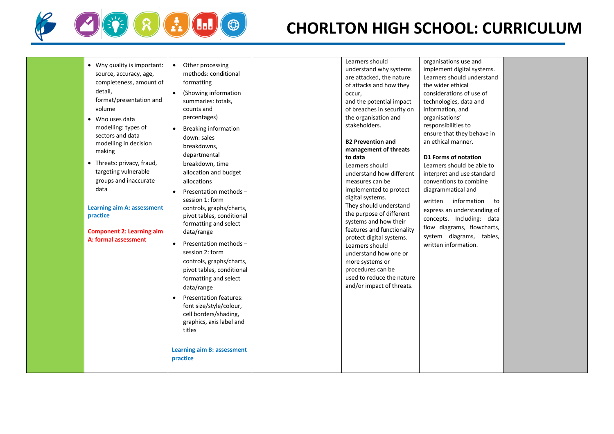

# **CHORLTON HIGH SCHOOL: CURRICULUM**

| • Why quality is important:<br>source, accuracy, age,<br>completeness, amount of<br>detail,<br>format/presentation and<br>volume<br>• Who uses data<br>modelling: types of<br>sectors and data<br>modelling in decision<br>making<br>• Threats: privacy, fraud,<br>targeting vulnerable<br>groups and inaccurate<br>data<br><b>Learning aim A: assessment</b><br>practice<br><b>Component 2: Learning aim</b><br>A: formal assessment | Other processing<br>$\bullet$<br>methods: conditional<br>formatting<br>(Showing information<br>summaries: totals,<br>counts and<br>percentages)<br><b>Breaking information</b><br>$\bullet$<br>down: sales<br>breakdowns,<br>departmental<br>breakdown, time<br>allocation and budget<br>allocations<br>Presentation methods -<br>$\bullet$<br>session 1: form<br>controls, graphs/charts,<br>pivot tables, conditional<br>formatting and select<br>data/range<br>Presentation methods -<br>$\bullet$<br>session 2: form<br>controls, graphs/charts,<br>pivot tables, conditional<br>formatting and select<br>data/range<br><b>Presentation features:</b><br>font size/style/colour,<br>cell borders/shading,<br>graphics, axis label and<br>titles<br>Learning aim B: assessment<br>practice | Learners should<br>understand why systems<br>are attacked, the nature<br>of attacks and how they<br>occur,<br>and the potential impact<br>of breaches in security on<br>the organisation and<br>stakeholders.<br><b>B2 Prevention and</b><br>management of threats<br>to data<br>Learners should<br>understand how different<br>measures can be<br>implemented to protect<br>digital systems.<br>They should understand<br>the purpose of different<br>systems and how their<br>features and functionality<br>protect digital systems.<br>Learners should<br>understand how one or<br>more systems or<br>procedures can be<br>used to reduce the nature<br>and/or impact of threats. | organisations use and<br>implement digital systems.<br>Learners should understand<br>the wider ethical<br>considerations of use of<br>technologies, data and<br>information, and<br>organisations'<br>responsibilities to<br>ensure that they behave in<br>an ethical manner.<br>D1 Forms of notation<br>Learners should be able to<br>interpret and use standard<br>conventions to combine<br>diagrammatical and<br>information<br>written<br>to<br>express an understanding of<br>concepts. Including: data<br>flow diagrams, flowcharts,<br>system diagrams, tables,<br>written information. |  |
|---------------------------------------------------------------------------------------------------------------------------------------------------------------------------------------------------------------------------------------------------------------------------------------------------------------------------------------------------------------------------------------------------------------------------------------|-----------------------------------------------------------------------------------------------------------------------------------------------------------------------------------------------------------------------------------------------------------------------------------------------------------------------------------------------------------------------------------------------------------------------------------------------------------------------------------------------------------------------------------------------------------------------------------------------------------------------------------------------------------------------------------------------------------------------------------------------------------------------------------------------|--------------------------------------------------------------------------------------------------------------------------------------------------------------------------------------------------------------------------------------------------------------------------------------------------------------------------------------------------------------------------------------------------------------------------------------------------------------------------------------------------------------------------------------------------------------------------------------------------------------------------------------------------------------------------------------|-------------------------------------------------------------------------------------------------------------------------------------------------------------------------------------------------------------------------------------------------------------------------------------------------------------------------------------------------------------------------------------------------------------------------------------------------------------------------------------------------------------------------------------------------------------------------------------------------|--|